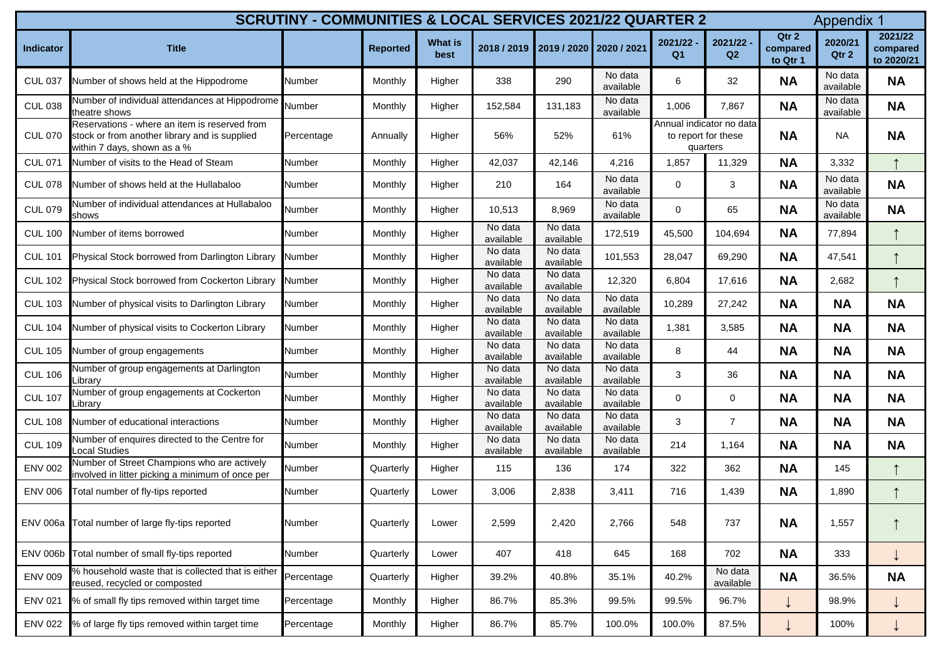| <b>SCRUTINY - COMMUNITIES &amp; LOCAL SERVICES 2021/22 QUARTER 2</b><br><b>Appendix 1</b> |                                                                                                                               |               |                 |                        |                                     |                      |                      |                                                             |                             |                               |                      |                                   |
|-------------------------------------------------------------------------------------------|-------------------------------------------------------------------------------------------------------------------------------|---------------|-----------------|------------------------|-------------------------------------|----------------------|----------------------|-------------------------------------------------------------|-----------------------------|-------------------------------|----------------------|-----------------------------------|
| <b>Indicator</b>                                                                          | <b>Title</b>                                                                                                                  |               | <b>Reported</b> | <b>What is</b><br>best | 2018 / 2019 2019 / 2020 2020 / 2021 |                      |                      | 2021/22<br>Q <sub>1</sub>                                   | 2021/22 -<br>Q <sub>2</sub> | Qtr 2<br>compared<br>to Qtr 1 | 2020/21<br>Qtr 2     | 2021/22<br>compared<br>to 2020/21 |
| <b>CUL 037</b>                                                                            | Number of shows held at the Hippodrome                                                                                        | <b>Number</b> | Monthly         | Higher                 | 338                                 | 290                  | No data<br>available | 6                                                           | 32                          | <b>NA</b>                     | No data<br>available | <b>NA</b>                         |
| <b>CUL 038</b>                                                                            | Number of individual attendances at Hippodrome<br>theatre shows                                                               | Number        | Monthly         | Higher                 | 152,584                             | 131,183              | No data<br>available | 1,006                                                       | 7,867                       | <b>NA</b>                     | No data<br>available | <b>NA</b>                         |
| <b>CUL 070</b>                                                                            | Reservations - where an item is reserved from<br>stock or from another library and is supplied<br>within 7 days, shown as a % | Percentage    | Annually        | Higher                 | 56%                                 | 52%                  | 61%                  | Annual indicator no data<br>to report for these<br>quarters |                             | <b>NA</b>                     | <b>NA</b>            | <b>NA</b>                         |
| <b>CUL 071</b>                                                                            | Number of visits to the Head of Steam                                                                                         | <b>Number</b> | Monthly         | Higher                 | 42,037                              | 42,146               | 4,216                | 1,857                                                       | 11,329                      | <b>NA</b>                     | 3,332                |                                   |
| <b>CUL 078</b>                                                                            | Number of shows held at the Hullabaloo                                                                                        | <b>Number</b> | Monthly         | Higher                 | 210                                 | 164                  | No data<br>available | $\overline{0}$                                              | 3                           | <b>NA</b>                     | No data<br>available | <b>NA</b>                         |
| <b>CUL 079</b>                                                                            | Number of individual attendances at Hullabaloo<br>shows                                                                       | <b>Number</b> | Monthly         | Higher                 | 10,513                              | 8,969                | No data<br>available | $\mathbf 0$                                                 | 65                          | <b>NA</b>                     | No data<br>available | <b>NA</b>                         |
| <b>CUL 100</b>                                                                            | Number of items borrowed                                                                                                      | <b>Number</b> | Monthly         | Higher                 | No data<br>available                | No data<br>available | 172,519              | 45,500                                                      | 104,694                     | <b>NA</b>                     | 77,894               |                                   |
| <b>CUL 101</b>                                                                            | Physical Stock borrowed from Darlington Library                                                                               | <b>Number</b> | Monthly         | Higher                 | No data<br>available                | No data<br>available | 101,553              | 28,047                                                      | 69,290                      | <b>NA</b>                     | 47,541               |                                   |
| <b>CUL 102</b>                                                                            | Physical Stock borrowed from Cockerton Library                                                                                | <b>Number</b> | Monthly         | Higher                 | No data<br>available                | No data<br>available | 12,320               | 6,804                                                       | 17,616                      | <b>NA</b>                     | 2,682                |                                   |
| <b>CUL 103</b>                                                                            | Number of physical visits to Darlington Library                                                                               | <b>Number</b> | Monthly         | Higher                 | No data<br>available                | No data<br>available | No data<br>available | 10,289                                                      | 27,242                      | <b>NA</b>                     | <b>NA</b>            | <b>NA</b>                         |
| <b>CUL 104</b>                                                                            | Number of physical visits to Cockerton Library                                                                                | <b>Number</b> | Monthly         | Higher                 | No data<br>available                | No data<br>available | No data<br>available | 1,381                                                       | 3,585                       | <b>NA</b>                     | <b>NA</b>            | <b>NA</b>                         |
| <b>CUL 105</b>                                                                            | Number of group engagements                                                                                                   | <b>Number</b> | Monthly         | Higher                 | No data<br>available                | No data<br>available | No data<br>available | 8                                                           | 44                          | <b>NA</b>                     | <b>NA</b>            | <b>NA</b>                         |
| <b>CUL 106</b>                                                                            | Number of group engagements at Darlington<br>Library                                                                          | <b>Number</b> | <b>Monthly</b>  | Higher                 | No data<br>available                | No data<br>available | No data<br>available | 3                                                           | 36                          | <b>NA</b>                     | <b>NA</b>            | <b>NA</b>                         |
| <b>CUL 107</b>                                                                            | Number of group engagements at Cockerton<br>Library                                                                           | <b>Number</b> | <b>Monthly</b>  | Higher                 | No data<br>available                | No data<br>available | No data<br>available | $\mathbf 0$                                                 | $\overline{0}$              | <b>NA</b>                     | <b>NA</b>            | <b>NA</b>                         |
| <b>CUL 108</b>                                                                            | Number of educational interactions                                                                                            | <b>Number</b> | <b>Monthly</b>  | Higher                 | No data<br>available                | No data<br>available | No data<br>available | 3                                                           | $\overline{7}$              | <b>NA</b>                     | <b>NA</b>            | <b>NA</b>                         |
| <b>CUL 109</b>                                                                            | Number of enquires directed to the Centre for<br>Local Studies                                                                | <b>Number</b> | <b>Monthly</b>  | Higher                 | No data<br>available                | No data<br>available | No data<br>available | 214                                                         | 1,164                       | <b>NA</b>                     | <b>NA</b>            | <b>NA</b>                         |
| <b>ENV 002</b>                                                                            | Number of Street Champions who are actively<br>involved in litter picking a minimum of once per                               | <b>Number</b> | Quarterly       | Higher                 | 115                                 | 136                  | 174                  | 322                                                         | 362                         | <b>NA</b>                     | 145                  |                                   |
| <b>ENV 006</b>                                                                            | Total number of fly-tips reported                                                                                             | <b>Number</b> | Quarterly       | Lower                  | 3,006                               | 2,838                | 3,411                | 716                                                         | 1,439                       | <b>NA</b>                     | 1,890                |                                   |
|                                                                                           | ENV 006a Total number of large fly-tips reported                                                                              | <b>Number</b> | Quarterly       | Lower                  | 2,599                               | 2,420                | 2,766                | 548                                                         | 737                         | <b>NA</b>                     | 1,557                |                                   |
| <b>ENV 006b</b>                                                                           | Total number of small fly-tips reported                                                                                       | <b>Number</b> | Quarterly       | Lower                  | 407                                 | 418                  | 645                  | 168                                                         | 702                         | <b>NA</b>                     | 333                  |                                   |
| <b>ENV 009</b>                                                                            | % household waste that is collected that is either<br>reused, recycled or composted                                           | Percentage    | Quarterly       | Higher                 | 39.2%                               | 40.8%                | 35.1%                | 40.2%                                                       | No data<br>available        | <b>NA</b>                     | 36.5%                | <b>NA</b>                         |
| <b>ENV 021</b>                                                                            | % of small fly tips removed within target time                                                                                | Percentage    | Monthly         | Higher                 | 86.7%                               | 85.3%                | 99.5%                | 99.5%                                                       | 96.7%                       |                               | 98.9%                |                                   |
| <b>ENV 022</b>                                                                            | % of large fly tips removed within target time                                                                                | Percentage    | <b>Monthly</b>  | Higher                 | 86.7%                               | 85.7%                | 100.0%               | 100.0%                                                      | 87.5%                       |                               | 100%                 |                                   |